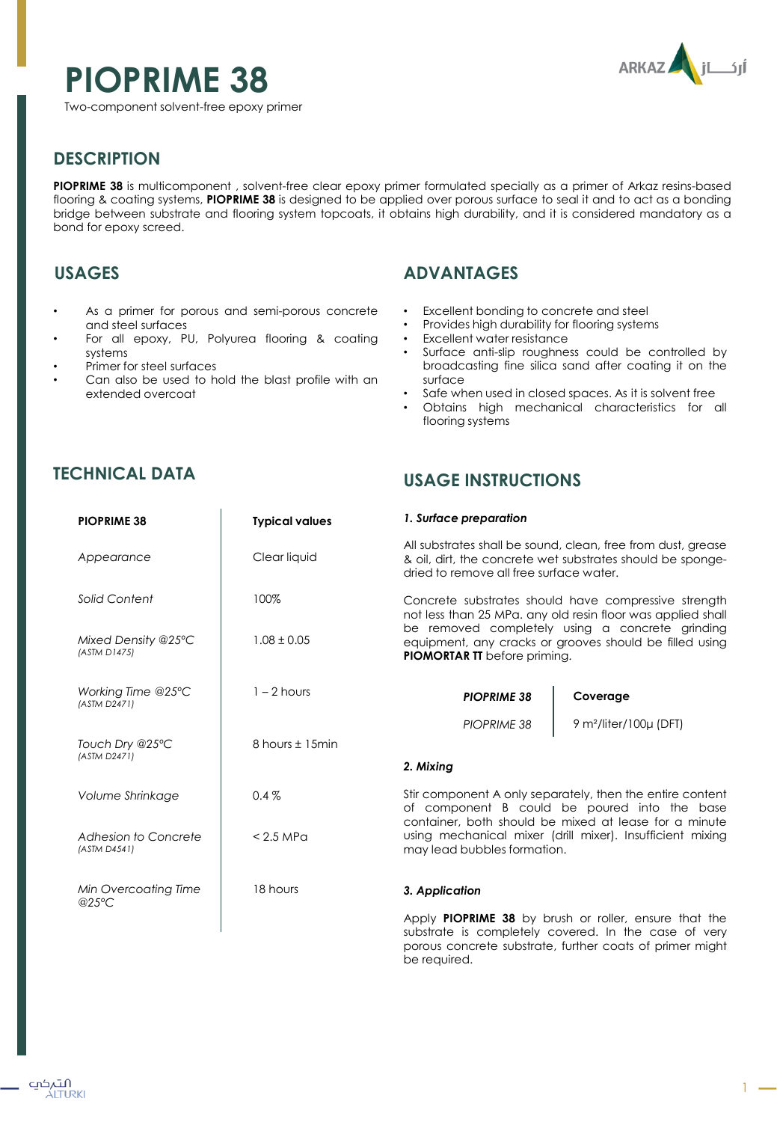# **PIOPRIME 38**



Two-component solvent-free epoxy primer

## **DESCRIPTION**

**PIOPRIME 38** is multicomponent , solvent-free clear epoxy primer formulated specially as a primer of Arkaz resins-based flooring & coating systems, **PIOPRIME 38** is designed to be applied over porous surface to seal it and to act as a bonding bridge between substrate and flooring system topcoats, it obtains high durability, and it is considered mandatory as a bond for epoxy screed.

## **USAGES**

- As a primer for porous and semi-porous concrete and steel surfaces
- For all epoxy, PU, Polyurea flooring & coating systems
- Primer for steel surfaces
- Can also be used to hold the blast profile with an extended overcoat

**PIOPRIME 38 Typical values**

# **ADVANTAGES**

- Excellent bonding to concrete and steel
- Provides high durability for flooring systems
- Excellent water resistance
- Surface anti-slip roughness could be controlled by broadcasting fine silica sand after coating it on the surface
- Safe when used in closed spaces. As it is solvent free
- Obtains high mechanical characteristics for all flooring systems

## **TECHNICAL DATA**

### **USAGE INSTRUCTIONS**

*1. Surface preparation*

| Appearance                           | Clear liquid    | All substrates shall be sound, clean, free from dust, grease<br>& oil, dirt, the concrete wet substrates should be sponge-<br>dried to remove all free surface water.                                                                                                    |                                         |
|--------------------------------------|-----------------|--------------------------------------------------------------------------------------------------------------------------------------------------------------------------------------------------------------------------------------------------------------------------|-----------------------------------------|
| Solid Content                        | 100%            | Concrete substrates should have compressive strength<br>not less than 25 MPa, any old resin floor was applied shall<br>be removed completely using a concrete grinding<br>equipment, any cracks or grooves should be filled using<br><b>PIOMORTAR TT</b> before priming. |                                         |
| Mixed Density @25°C<br>(ASTM D1475)  | $1.08 \pm 0.05$ |                                                                                                                                                                                                                                                                          |                                         |
| Working Time @25°C<br>(ASTM D2471)   | $1 - 2$ hours   | <b>PIOPRIME 38</b>                                                                                                                                                                                                                                                       | Coverage                                |
| Touch Dry @25°C<br>(ASTM D2471)      | 8 hours ± 15min | PIOPRIME 38<br>2. Mixing                                                                                                                                                                                                                                                 | 9 m <sup>2</sup> /liter/100 $\mu$ (DFT) |
| Volume Shrinkage                     | $0.4\%$         | Stir component A only separately, then the entire content<br>of component B could be poured into the base<br>container, both should be mixed at lease for a minute<br>using mechanical mixer (drill mixer). Insufficient mixing<br>may lead bubbles formation.           |                                         |
| Adhesion to Concrete<br>(ASTM D4541) | $< 2.5$ MPa     |                                                                                                                                                                                                                                                                          |                                         |
| Min Overcoating Time<br>@25°C        | 18 hours        | 3. Application                                                                                                                                                                                                                                                           |                                         |

Apply **PIOPRIME 38** by brush or roller, ensure that the substrate is completely covered. In the case of very porous concrete substrate, further coats of primer might be required.